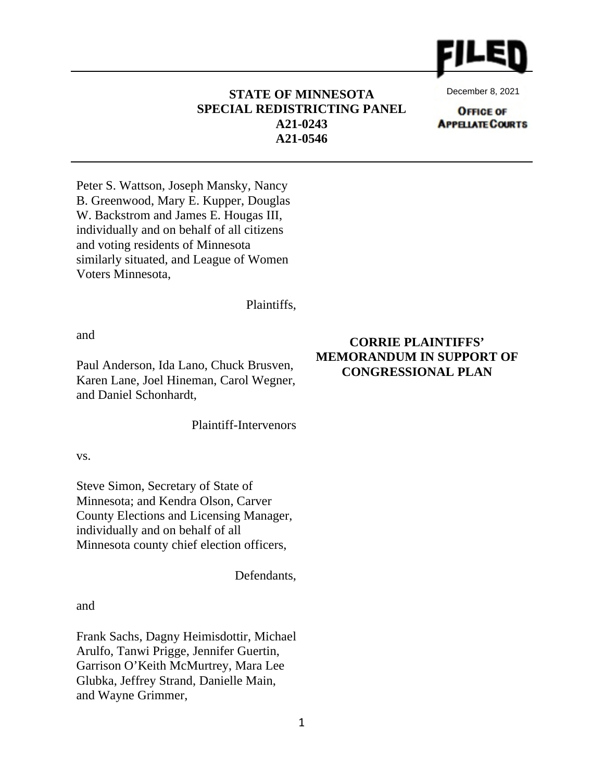

**STATE OF MINNESOTA SPECIAL REDISTRICTING PANEL A21-0243 A21-0546**

December 8, 2021

**OFFICE OF APPELATE COURTS** 

Peter S. Wattson, Joseph Mansky, Nancy B. Greenwood, Mary E. Kupper, Douglas W. Backstrom and James E. Hougas III, individually and on behalf of all citizens and voting residents of Minnesota similarly situated, and League of Women Voters Minnesota,

Plaintiffs,

and

Paul Anderson, Ida Lano, Chuck Brusven, Karen Lane, Joel Hineman, Carol Wegner, and Daniel Schonhardt,

Plaintiff-Intervenors

vs.

Steve Simon, Secretary of State of Minnesota; and Kendra Olson, Carver County Elections and Licensing Manager, individually and on behalf of all Minnesota county chief election officers,

Defendants,

and

Frank Sachs, Dagny Heimisdottir, Michael Arulfo, Tanwi Prigge, Jennifer Guertin, Garrison O'Keith McMurtrey, Mara Lee Glubka, Jeffrey Strand, Danielle Main, and Wayne Grimmer,

# **CORRIE PLAINTIFFS' MEMORANDUM IN SUPPORT OF CONGRESSIONAL PLAN**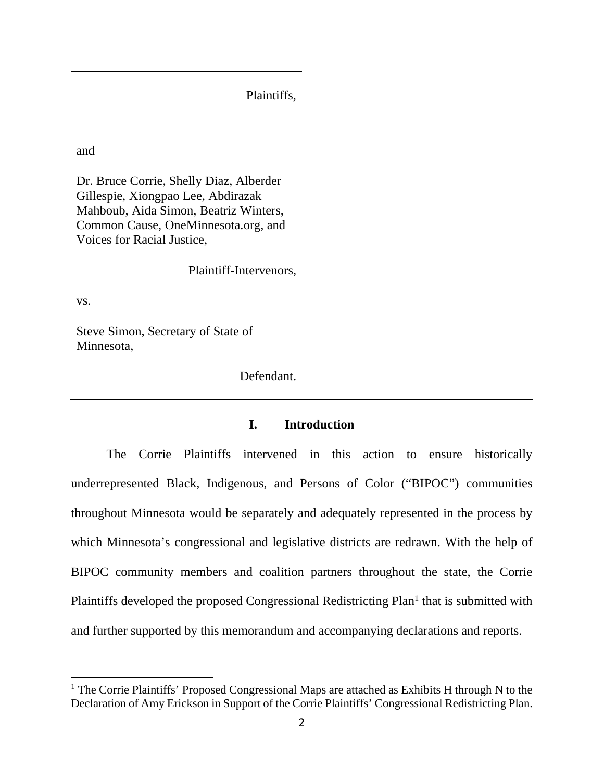Plaintiffs,

and

Dr. Bruce Corrie, Shelly Diaz, Alberder Gillespie, Xiongpao Lee, Abdirazak Mahboub, Aida Simon, Beatriz Winters, Common Cause, OneMinnesota.org, and Voices for Racial Justice,

Plaintiff-Intervenors,

vs.

Steve Simon, Secretary of State of Minnesota,

Defendant.

# **I. Introduction**

The Corrie Plaintiffs intervened in this action to ensure historically underrepresented Black, Indigenous, and Persons of Color ("BIPOC") communities throughout Minnesota would be separately and adequately represented in the process by which Minnesota's congressional and legislative districts are redrawn. With the help of BIPOC community members and coalition partners throughout the state, the Corrie Plaintiffs developed the proposed Congressional Redistricting Plan<sup>1</sup> that is submitted with and further supported by this memorandum and accompanying declarations and reports.

<sup>&</sup>lt;sup>1</sup> The Corrie Plaintiffs' Proposed Congressional Maps are attached as Exhibits H through N to the Declaration of Amy Erickson in Support of the Corrie Plaintiffs' Congressional Redistricting Plan.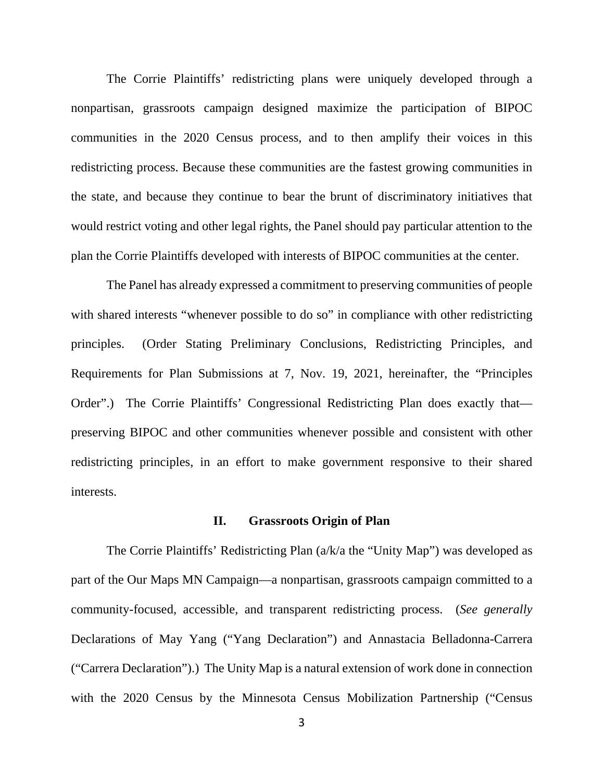The Corrie Plaintiffs' redistricting plans were uniquely developed through a nonpartisan, grassroots campaign designed maximize the participation of BIPOC communities in the 2020 Census process, and to then amplify their voices in this redistricting process. Because these communities are the fastest growing communities in the state, and because they continue to bear the brunt of discriminatory initiatives that would restrict voting and other legal rights, the Panel should pay particular attention to the plan the Corrie Plaintiffs developed with interests of BIPOC communities at the center.

The Panel has already expressed a commitment to preserving communities of people with shared interests "whenever possible to do so" in compliance with other redistricting principles. (Order Stating Preliminary Conclusions, Redistricting Principles, and Requirements for Plan Submissions at 7, Nov. 19, 2021, hereinafter, the "Principles Order".) The Corrie Plaintiffs' Congressional Redistricting Plan does exactly that preserving BIPOC and other communities whenever possible and consistent with other redistricting principles, in an effort to make government responsive to their shared interests.

## **II. Grassroots Origin of Plan**

The Corrie Plaintiffs' Redistricting Plan (a/k/a the "Unity Map") was developed as part of the Our Maps MN Campaign—a nonpartisan, grassroots campaign committed to a community-focused, accessible, and transparent redistricting process. (*See generally*  Declarations of May Yang ("Yang Declaration") and Annastacia Belladonna-Carrera ("Carrera Declaration").) The Unity Map is a natural extension of work done in connection with the 2020 Census by the Minnesota Census Mobilization Partnership ("Census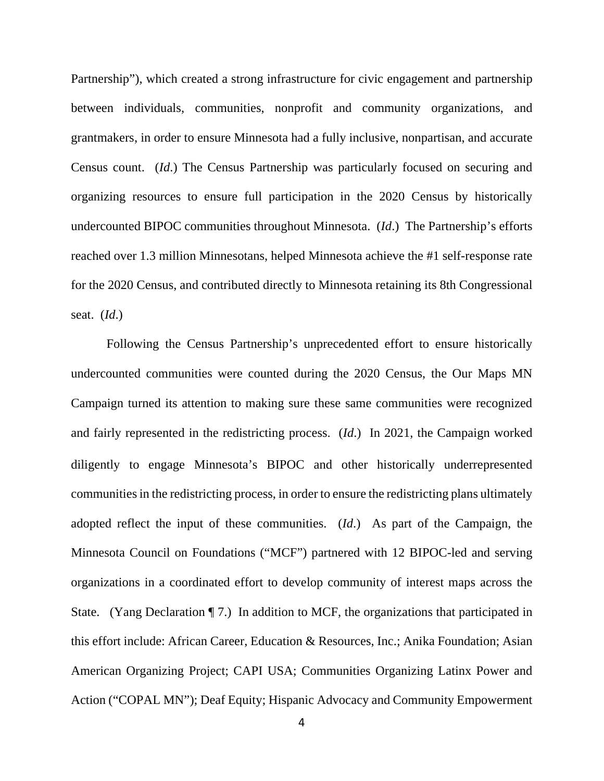Partnership"), which created a strong infrastructure for civic engagement and partnership between individuals, communities, nonprofit and community organizations, and grantmakers, in order to ensure Minnesota had a fully inclusive, nonpartisan, and accurate Census count. (*Id*.) The Census Partnership was particularly focused on securing and organizing resources to ensure full participation in the 2020 Census by historically undercounted BIPOC communities throughout Minnesota. (*Id*.) The Partnership's efforts reached over 1.3 million Minnesotans, helped Minnesota achieve the #1 self-response rate for the 2020 Census, and contributed directly to Minnesota retaining its 8th Congressional seat. (*Id*.)

Following the Census Partnership's unprecedented effort to ensure historically undercounted communities were counted during the 2020 Census, the Our Maps MN Campaign turned its attention to making sure these same communities were recognized and fairly represented in the redistricting process. (*Id*.) In 2021, the Campaign worked diligently to engage Minnesota's BIPOC and other historically underrepresented communities in the redistricting process, in order to ensure the redistricting plans ultimately adopted reflect the input of these communities. (*Id*.) As part of the Campaign, the Minnesota Council on Foundations ("MCF") partnered with 12 BIPOC-led and serving organizations in a coordinated effort to develop community of interest maps across the State. (Yang Declaration ¶ 7.) In addition to MCF, the organizations that participated in this effort include: African Career, Education & Resources, Inc.; Anika Foundation; Asian American Organizing Project; CAPI USA; Communities Organizing Latinx Power and Action ("COPAL MN"); Deaf Equity; Hispanic Advocacy and Community Empowerment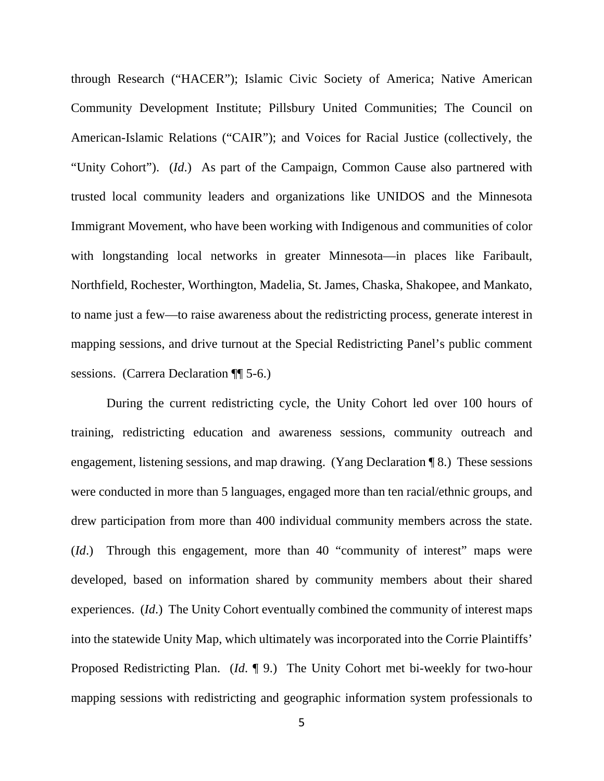through Research ("HACER"); Islamic Civic Society of America; Native American Community Development Institute; Pillsbury United Communities; The Council on American-Islamic Relations ("CAIR"); and Voices for Racial Justice (collectively, the "Unity Cohort"). (*Id*.) As part of the Campaign, Common Cause also partnered with trusted local community leaders and organizations like UNIDOS and the Minnesota Immigrant Movement, who have been working with Indigenous and communities of color with longstanding local networks in greater Minnesota—in places like Faribault, Northfield, Rochester, Worthington, Madelia, St. James, Chaska, Shakopee, and Mankato, to name just a few—to raise awareness about the redistricting process, generate interest in mapping sessions, and drive turnout at the Special Redistricting Panel's public comment sessions. (Carrera Declaration ¶¶ 5-6.)

During the current redistricting cycle, the Unity Cohort led over 100 hours of training, redistricting education and awareness sessions, community outreach and engagement, listening sessions, and map drawing. (Yang Declaration ¶ 8.) These sessions were conducted in more than 5 languages, engaged more than ten racial/ethnic groups, and drew participation from more than 400 individual community members across the state. (*Id*.) Through this engagement, more than 40 "community of interest" maps were developed, based on information shared by community members about their shared experiences. (*Id*.) The Unity Cohort eventually combined the community of interest maps into the statewide Unity Map, which ultimately was incorporated into the Corrie Plaintiffs' Proposed Redistricting Plan. (*Id*. ¶ 9.) The Unity Cohort met bi-weekly for two-hour mapping sessions with redistricting and geographic information system professionals to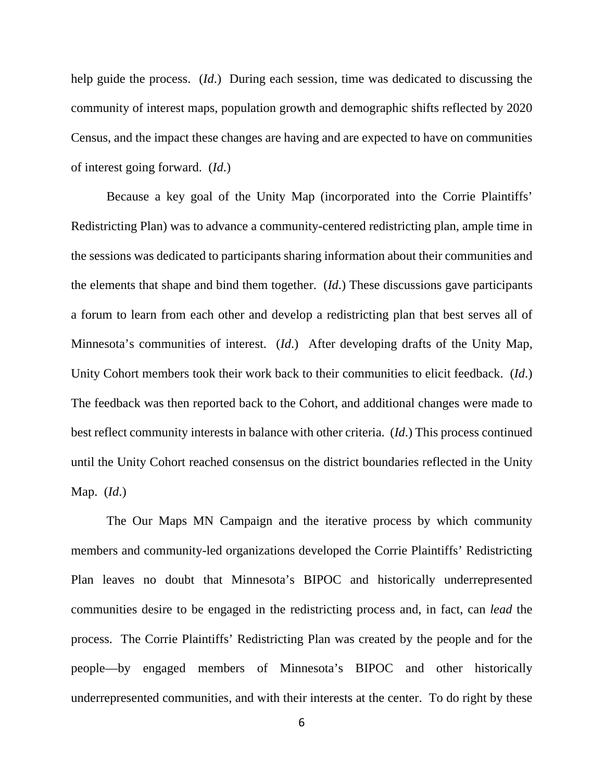help guide the process. (*Id*.) During each session, time was dedicated to discussing the community of interest maps, population growth and demographic shifts reflected by 2020 Census, and the impact these changes are having and are expected to have on communities of interest going forward. (*Id*.)

Because a key goal of the Unity Map (incorporated into the Corrie Plaintiffs' Redistricting Plan) was to advance a community-centered redistricting plan, ample time in the sessions was dedicated to participants sharing information about their communities and the elements that shape and bind them together. (*Id*.) These discussions gave participants a forum to learn from each other and develop a redistricting plan that best serves all of Minnesota's communities of interest. (*Id*.) After developing drafts of the Unity Map, Unity Cohort members took their work back to their communities to elicit feedback. (*Id*.) The feedback was then reported back to the Cohort, and additional changes were made to best reflect community interests in balance with other criteria. (*Id*.) This process continued until the Unity Cohort reached consensus on the district boundaries reflected in the Unity Map. (*Id*.)

The Our Maps MN Campaign and the iterative process by which community members and community-led organizations developed the Corrie Plaintiffs' Redistricting Plan leaves no doubt that Minnesota's BIPOC and historically underrepresented communities desire to be engaged in the redistricting process and, in fact, can *lead* the process. The Corrie Plaintiffs' Redistricting Plan was created by the people and for the people—by engaged members of Minnesota's BIPOC and other historically underrepresented communities, and with their interests at the center. To do right by these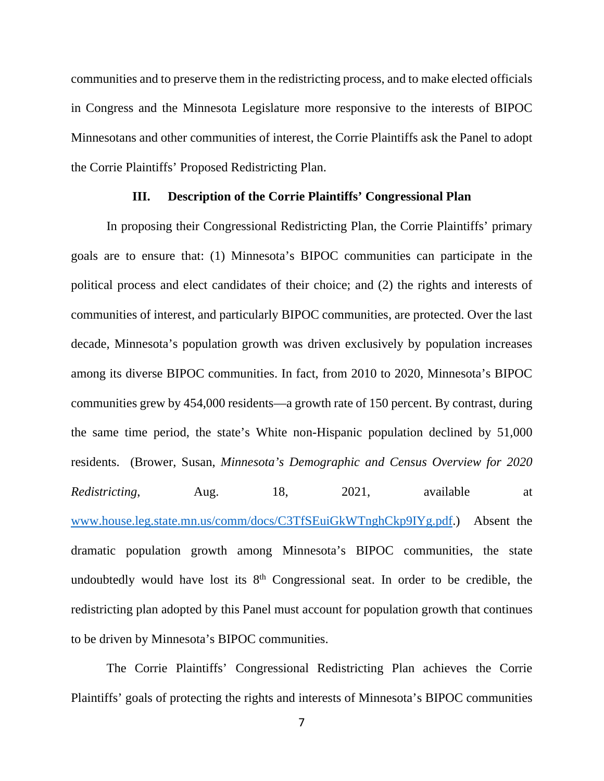communities and to preserve them in the redistricting process, and to make elected officials in Congress and the Minnesota Legislature more responsive to the interests of BIPOC Minnesotans and other communities of interest, the Corrie Plaintiffs ask the Panel to adopt the Corrie Plaintiffs' Proposed Redistricting Plan.

### **III. Description of the Corrie Plaintiffs' Congressional Plan**

In proposing their Congressional Redistricting Plan, the Corrie Plaintiffs' primary goals are to ensure that: (1) Minnesota's BIPOC communities can participate in the political process and elect candidates of their choice; and (2) the rights and interests of communities of interest, and particularly BIPOC communities, are protected. Over the last decade, Minnesota's population growth was driven exclusively by population increases among its diverse BIPOC communities. In fact, from 2010 to 2020, Minnesota's BIPOC communities grew by 454,000 residents—a growth rate of 150 percent. By contrast, during the same time period, the state's White non-Hispanic population declined by 51,000 residents. (Brower, Susan, *Minnesota's Demographic and Census Overview for 2020 Redistricting*, Aug. 18, 2021, available at www.house.leg.state.mn.us/comm/docs/C3TfSEuiGkWTnghCkp9IYg.pdf.) Absent the dramatic population growth among Minnesota's BIPOC communities, the state undoubtedly would have lost its  $8<sup>th</sup>$  Congressional seat. In order to be credible, the redistricting plan adopted by this Panel must account for population growth that continues to be driven by Minnesota's BIPOC communities.

The Corrie Plaintiffs' Congressional Redistricting Plan achieves the Corrie Plaintiffs' goals of protecting the rights and interests of Minnesota's BIPOC communities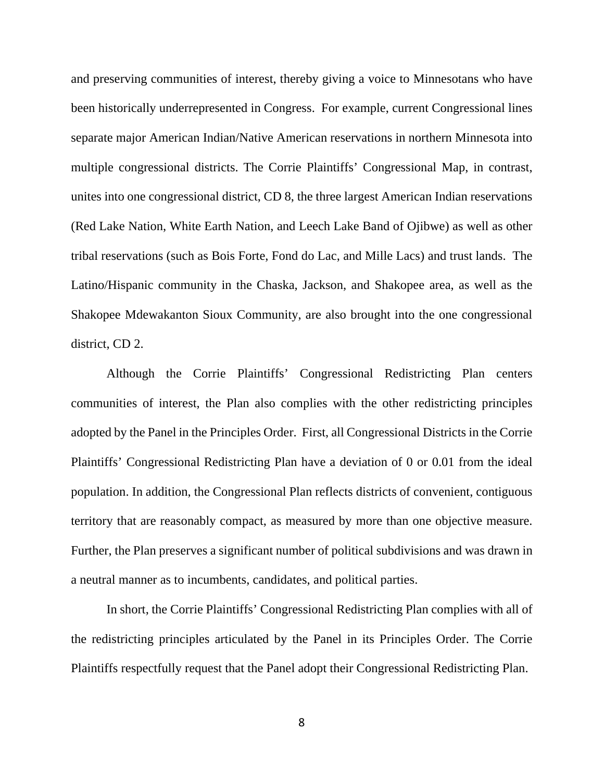and preserving communities of interest, thereby giving a voice to Minnesotans who have been historically underrepresented in Congress. For example, current Congressional lines separate major American Indian/Native American reservations in northern Minnesota into multiple congressional districts. The Corrie Plaintiffs' Congressional Map, in contrast, unites into one congressional district, CD 8, the three largest American Indian reservations (Red Lake Nation, White Earth Nation, and Leech Lake Band of Ojibwe) as well as other tribal reservations (such as Bois Forte, Fond do Lac, and Mille Lacs) and trust lands. The Latino/Hispanic community in the Chaska, Jackson, and Shakopee area, as well as the Shakopee Mdewakanton Sioux Community, are also brought into the one congressional district, CD 2.

Although the Corrie Plaintiffs' Congressional Redistricting Plan centers communities of interest, the Plan also complies with the other redistricting principles adopted by the Panel in the Principles Order. First, all Congressional Districts in the Corrie Plaintiffs' Congressional Redistricting Plan have a deviation of 0 or 0.01 from the ideal population. In addition, the Congressional Plan reflects districts of convenient, contiguous territory that are reasonably compact, as measured by more than one objective measure. Further, the Plan preserves a significant number of political subdivisions and was drawn in a neutral manner as to incumbents, candidates, and political parties.

In short, the Corrie Plaintiffs' Congressional Redistricting Plan complies with all of the redistricting principles articulated by the Panel in its Principles Order. The Corrie Plaintiffs respectfully request that the Panel adopt their Congressional Redistricting Plan.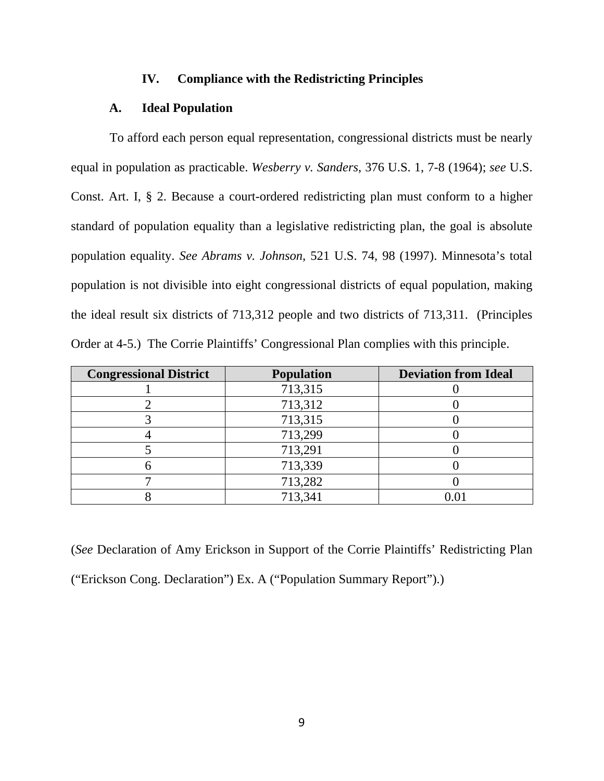## **IV. Compliance with the Redistricting Principles**

# **A. Ideal Population**

 To afford each person equal representation, congressional districts must be nearly equal in population as practicable. *Wesberry v. Sanders*, 376 U.S. 1, 7-8 (1964); *see* U.S. Const. Art. I, § 2. Because a court-ordered redistricting plan must conform to a higher standard of population equality than a legislative redistricting plan, the goal is absolute population equality. *See Abrams v. Johnson*, 521 U.S. 74, 98 (1997). Minnesota's total population is not divisible into eight congressional districts of equal population, making the ideal result six districts of 713,312 people and two districts of 713,311. (Principles Order at 4-5.) The Corrie Plaintiffs' Congressional Plan complies with this principle.

| <b>Congressional District</b> | <b>Population</b> | <b>Deviation from Ideal</b> |  |
|-------------------------------|-------------------|-----------------------------|--|
|                               | 713,315           |                             |  |
|                               | 713,312           |                             |  |
|                               | 713,315           |                             |  |
|                               | 713,299           |                             |  |
|                               | 713,291           |                             |  |
|                               | 713,339           |                             |  |
|                               | 713,282           |                             |  |
|                               | 713,341           |                             |  |

(*See* Declaration of Amy Erickson in Support of the Corrie Plaintiffs' Redistricting Plan ("Erickson Cong. Declaration") Ex. A ("Population Summary Report").)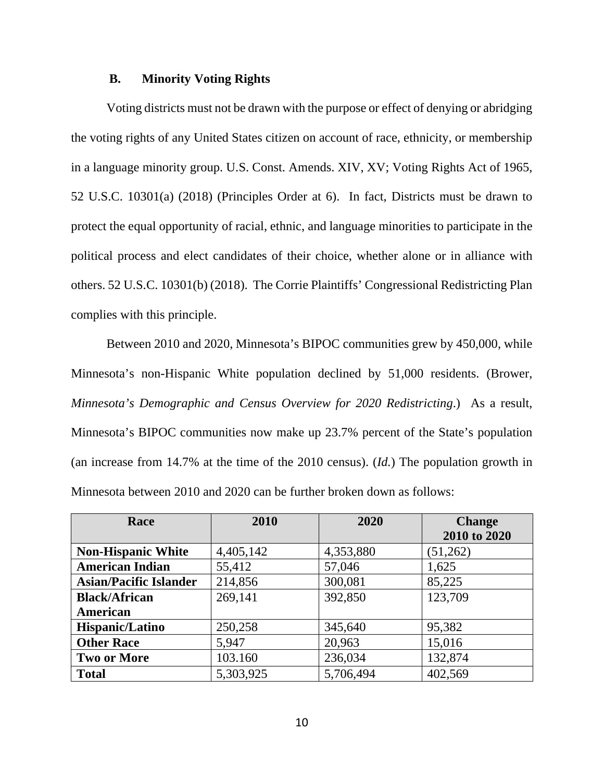### **B. Minority Voting Rights**

Voting districts must not be drawn with the purpose or effect of denying or abridging the voting rights of any United States citizen on account of race, ethnicity, or membership in a language minority group. U.S. Const. Amends. XIV, XV; Voting Rights Act of 1965, 52 U.S.C. 10301(a) (2018) (Principles Order at 6). In fact, Districts must be drawn to protect the equal opportunity of racial, ethnic, and language minorities to participate in the political process and elect candidates of their choice, whether alone or in alliance with others. 52 U.S.C. 10301(b) (2018). The Corrie Plaintiffs' Congressional Redistricting Plan complies with this principle.

Between 2010 and 2020, Minnesota's BIPOC communities grew by 450,000, while Minnesota's non-Hispanic White population declined by 51,000 residents. (Brower, *Minnesota's Demographic and Census Overview for 2020 Redistricting*.) As a result, Minnesota's BIPOC communities now make up 23.7% percent of the State's population (an increase from 14.7% at the time of the 2010 census). (*Id.*) The population growth in Minnesota between 2010 and 2020 can be further broken down as follows:

| Race                          | 2010      | 2020      | <b>Change</b> |
|-------------------------------|-----------|-----------|---------------|
|                               |           |           | 2010 to 2020  |
| <b>Non-Hispanic White</b>     | 4,405,142 | 4,353,880 | (51,262)      |
| <b>American Indian</b>        | 55,412    | 57,046    | 1,625         |
| <b>Asian/Pacific Islander</b> | 214,856   | 300,081   | 85,225        |
| <b>Black/African</b>          | 269,141   | 392,850   | 123,709       |
| <b>American</b>               |           |           |               |
| Hispanic/Latino               | 250,258   | 345,640   | 95,382        |
| <b>Other Race</b>             | 5,947     | 20,963    | 15,016        |
| <b>Two or More</b>            | 103.160   | 236,034   | 132,874       |
| <b>Total</b>                  | 5,303,925 | 5,706,494 | 402,569       |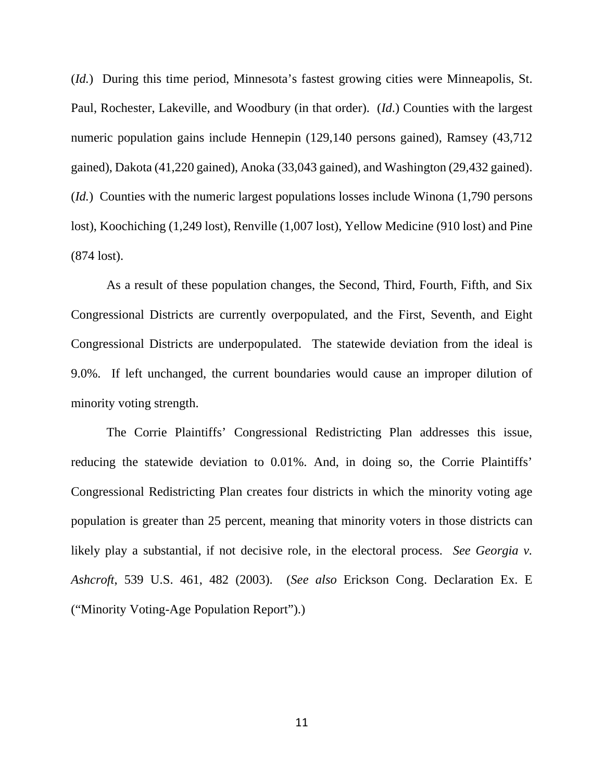(*Id.*) During this time period, Minnesota's fastest growing cities were Minneapolis, St. Paul, Rochester, Lakeville, and Woodbury (in that order). (*Id*.) Counties with the largest numeric population gains include Hennepin (129,140 persons gained), Ramsey (43,712 gained), Dakota (41,220 gained), Anoka (33,043 gained), and Washington (29,432 gained). (*Id.*) Counties with the numeric largest populations losses include Winona (1,790 persons lost), Koochiching (1,249 lost), Renville (1,007 lost), Yellow Medicine (910 lost) and Pine (874 lost).

As a result of these population changes, the Second, Third, Fourth, Fifth, and Six Congressional Districts are currently overpopulated, and the First, Seventh, and Eight Congressional Districts are underpopulated. The statewide deviation from the ideal is 9.0%. If left unchanged, the current boundaries would cause an improper dilution of minority voting strength.

The Corrie Plaintiffs' Congressional Redistricting Plan addresses this issue, reducing the statewide deviation to 0.01%. And, in doing so, the Corrie Plaintiffs' Congressional Redistricting Plan creates four districts in which the minority voting age population is greater than 25 percent, meaning that minority voters in those districts can likely play a substantial, if not decisive role, in the electoral process. *See Georgia v. Ashcroft*, 539 U.S. 461, 482 (2003). (*See also* Erickson Cong. Declaration Ex. E ("Minority Voting-Age Population Report").)

11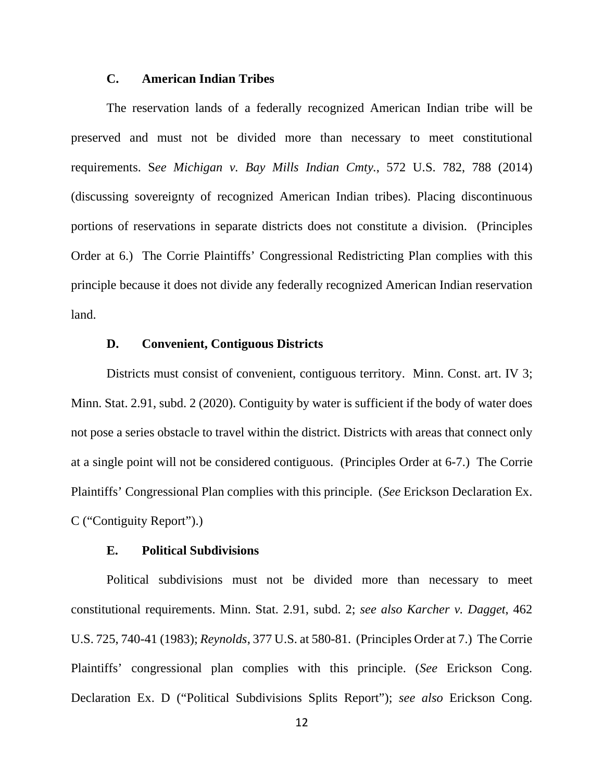# **C. American Indian Tribes**

The reservation lands of a federally recognized American Indian tribe will be preserved and must not be divided more than necessary to meet constitutional requirements. S*ee Michigan v. Bay Mills Indian Cmty.*, 572 U.S. 782, 788 (2014) (discussing sovereignty of recognized American Indian tribes). Placing discontinuous portions of reservations in separate districts does not constitute a division. (Principles Order at 6.) The Corrie Plaintiffs' Congressional Redistricting Plan complies with this principle because it does not divide any federally recognized American Indian reservation land.

### **D. Convenient, Contiguous Districts**

Districts must consist of convenient, contiguous territory. Minn. Const. art. IV 3; Minn. Stat. 2.91, subd. 2 (2020). Contiguity by water is sufficient if the body of water does not pose a series obstacle to travel within the district. Districts with areas that connect only at a single point will not be considered contiguous. (Principles Order at 6-7.) The Corrie Plaintiffs' Congressional Plan complies with this principle. (*See* Erickson Declaration Ex. C ("Contiguity Report").)

### **E. Political Subdivisions**

Political subdivisions must not be divided more than necessary to meet constitutional requirements. Minn. Stat. 2.91, subd. 2; *see also Karcher v. Dagget*, 462 U.S. 725, 740-41 (1983); *Reynolds*, 377 U.S. at 580-81. (Principles Order at 7.) The Corrie Plaintiffs' congressional plan complies with this principle. (*See* Erickson Cong. Declaration Ex. D ("Political Subdivisions Splits Report"); *see also* Erickson Cong.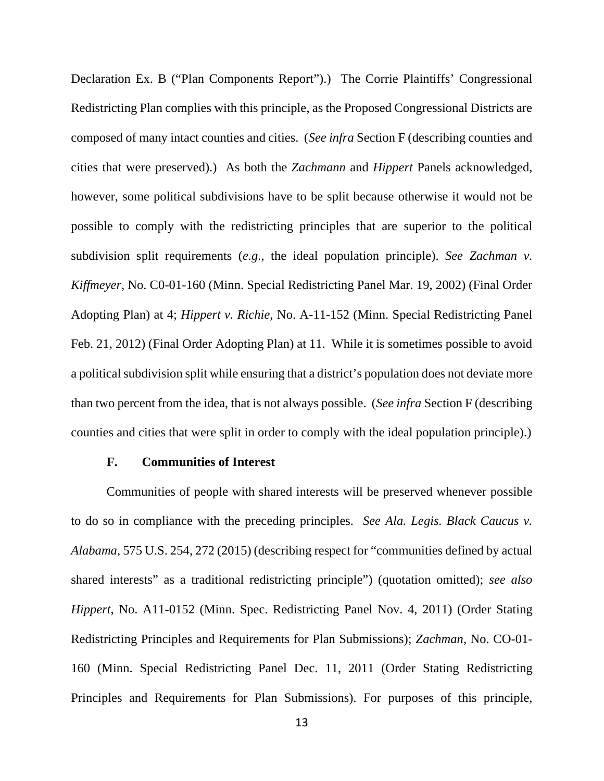Declaration Ex. B ("Plan Components Report").) The Corrie Plaintiffs' Congressional Redistricting Plan complies with this principle, as the Proposed Congressional Districts are composed of many intact counties and cities. (*See infra* Section F (describing counties and cities that were preserved).) As both the *Zachmann* and *Hippert* Panels acknowledged, however, some political subdivisions have to be split because otherwise it would not be possible to comply with the redistricting principles that are superior to the political subdivision split requirements (*e.g*., the ideal population principle). *See Zachman v. Kiffmeyer*, No. C0-01-160 (Minn. Special Redistricting Panel Mar. 19, 2002) (Final Order Adopting Plan) at 4; *Hippert v. Richie*, No. A-11-152 (Minn. Special Redistricting Panel Feb. 21, 2012) (Final Order Adopting Plan) at 11. While it is sometimes possible to avoid a political subdivision split while ensuring that a district's population does not deviate more than two percent from the idea, that is not always possible. (*See infra* Section F (describing counties and cities that were split in order to comply with the ideal population principle).)

#### **F. Communities of Interest**

Communities of people with shared interests will be preserved whenever possible to do so in compliance with the preceding principles. *See Ala. Legis. Black Caucus v. Alabama*, 575 U.S. 254, 272 (2015) (describing respect for "communities defined by actual shared interests" as a traditional redistricting principle") (quotation omitted); *see also Hippert*, No. A11-0152 (Minn. Spec. Redistricting Panel Nov. 4, 2011) (Order Stating Redistricting Principles and Requirements for Plan Submissions); *Zachman*, No. CO-01- 160 (Minn. Special Redistricting Panel Dec. 11, 2011 (Order Stating Redistricting Principles and Requirements for Plan Submissions). For purposes of this principle,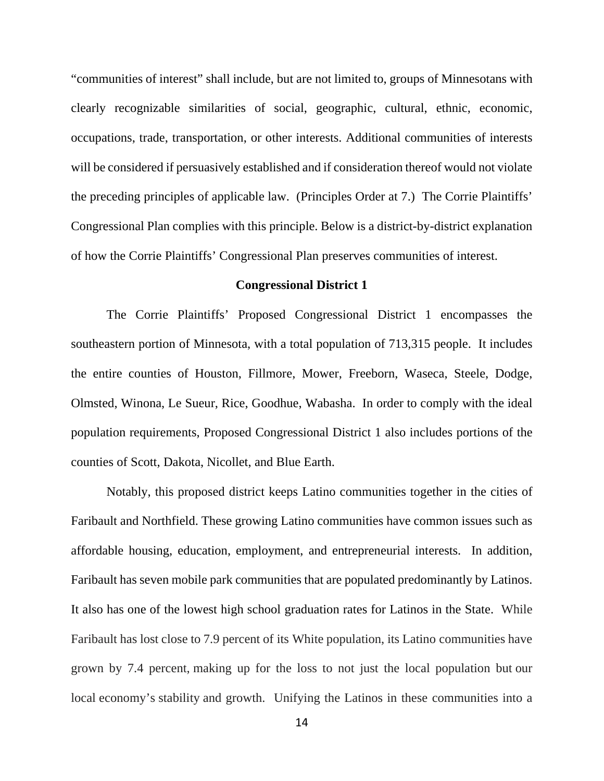"communities of interest" shall include, but are not limited to, groups of Minnesotans with clearly recognizable similarities of social, geographic, cultural, ethnic, economic, occupations, trade, transportation, or other interests. Additional communities of interests will be considered if persuasively established and if consideration thereof would not violate the preceding principles of applicable law. (Principles Order at 7.) The Corrie Plaintiffs' Congressional Plan complies with this principle. Below is a district-by-district explanation of how the Corrie Plaintiffs' Congressional Plan preserves communities of interest.

#### **Congressional District 1**

The Corrie Plaintiffs' Proposed Congressional District 1 encompasses the southeastern portion of Minnesota, with a total population of 713,315 people. It includes the entire counties of Houston, Fillmore, Mower, Freeborn, Waseca, Steele, Dodge, Olmsted, Winona, Le Sueur, Rice, Goodhue, Wabasha. In order to comply with the ideal population requirements, Proposed Congressional District 1 also includes portions of the counties of Scott, Dakota, Nicollet, and Blue Earth.

Notably, this proposed district keeps Latino communities together in the cities of Faribault and Northfield. These growing Latino communities have common issues such as affordable housing, education, employment, and entrepreneurial interests. In addition, Faribault has seven mobile park communities that are populated predominantly by Latinos. It also has one of the lowest high school graduation rates for Latinos in the State. While Faribault has lost close to 7.9 percent of its White population, its Latino communities have grown by 7.4 percent, making up for the loss to not just the local population but our local economy's stability and growth. Unifying the Latinos in these communities into a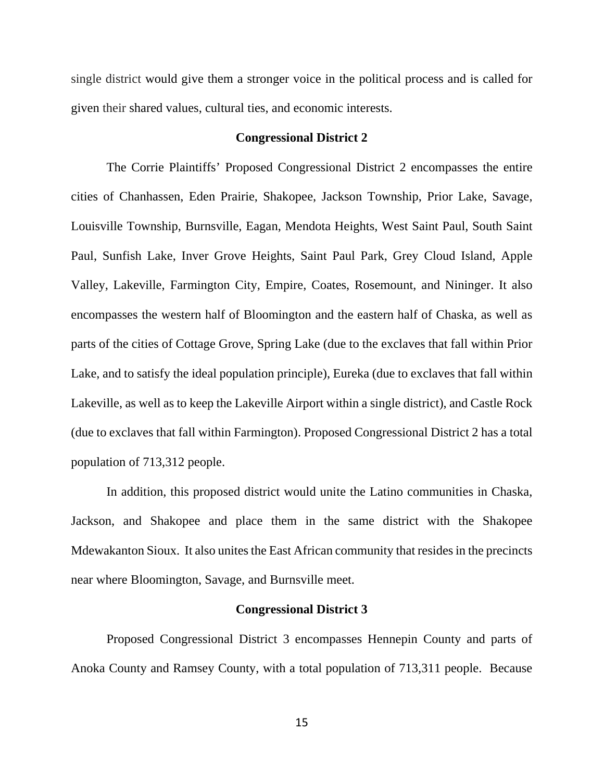single district would give them a stronger voice in the political process and is called for given their shared values, cultural ties, and economic interests.

# **Congressional District 2**

The Corrie Plaintiffs' Proposed Congressional District 2 encompasses the entire cities of Chanhassen, Eden Prairie, Shakopee, Jackson Township, Prior Lake, Savage, Louisville Township, Burnsville, Eagan, Mendota Heights, West Saint Paul, South Saint Paul, Sunfish Lake, Inver Grove Heights, Saint Paul Park, Grey Cloud Island, Apple Valley, Lakeville, Farmington City, Empire, Coates, Rosemount, and Nininger. It also encompasses the western half of Bloomington and the eastern half of Chaska, as well as parts of the cities of Cottage Grove, Spring Lake (due to the exclaves that fall within Prior Lake, and to satisfy the ideal population principle), Eureka (due to exclaves that fall within Lakeville, as well as to keep the Lakeville Airport within a single district), and Castle Rock (due to exclaves that fall within Farmington). Proposed Congressional District 2 has a total population of 713,312 people.

In addition, this proposed district would unite the Latino communities in Chaska, Jackson, and Shakopee and place them in the same district with the Shakopee Mdewakanton Sioux. It also unites the East African community that resides in the precincts near where Bloomington, Savage, and Burnsville meet.

### **Congressional District 3**

Proposed Congressional District 3 encompasses Hennepin County and parts of Anoka County and Ramsey County, with a total population of 713,311 people. Because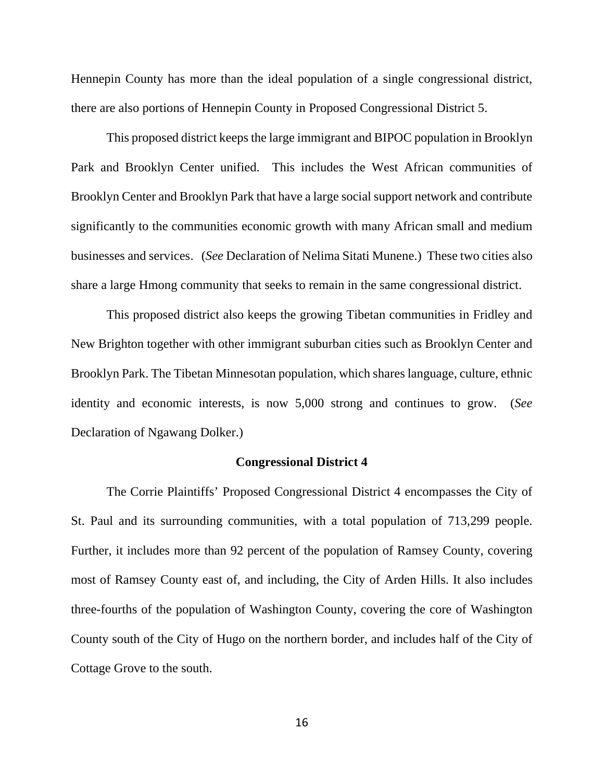Hennepin County has more than the ideal population of a single congressional district, there are also portions of Hennepin County in Proposed Congressional District 5.

This proposed district keeps the large immigrant and BIPOC population in Brooklyn Park and Brooklyn Center unified. This includes the West African communities of Brooklyn Center and Brooklyn Park that have a large social support network and contribute significantly to the communities economic growth with many African small and medium businesses and services. (*See* Declaration of Nelima Sitati Munene.) These two cities also share a large Hmong community that seeks to remain in the same congressional district.

This proposed district also keeps the growing Tibetan communities in Fridley and New Brighton together with other immigrant suburban cities such as Brooklyn Center and Brooklyn Park. The Tibetan Minnesotan population, which shares language, culture, ethnic identity and economic interests, is now 5,000 strong and continues to grow. (*See* Declaration of Ngawang Dolker.)

#### **Congressional District 4**

The Corrie Plaintiffs' Proposed Congressional District 4 encompasses the City of St. Paul and its surrounding communities, with a total population of 713,299 people. Further, it includes more than 92 percent of the population of Ramsey County, covering most of Ramsey County east of, and including, the City of Arden Hills. It also includes three-fourths of the population of Washington County, covering the core of Washington County south of the City of Hugo on the northern border, and includes half of the City of Cottage Grove to the south.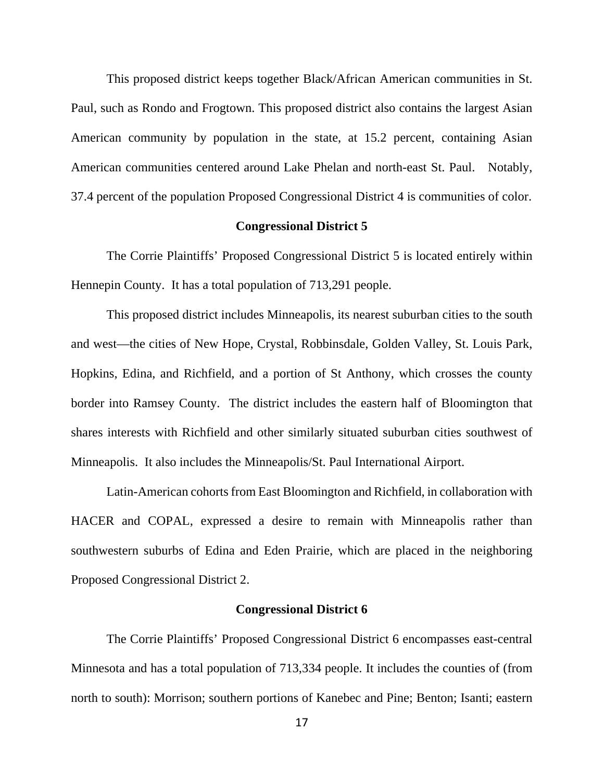This proposed district keeps together Black/African American communities in St. Paul, such as Rondo and Frogtown. This proposed district also contains the largest Asian American community by population in the state, at 15.2 percent, containing Asian American communities centered around Lake Phelan and north-east St. Paul. Notably, 37.4 percent of the population Proposed Congressional District 4 is communities of color.

### **Congressional District 5**

The Corrie Plaintiffs' Proposed Congressional District 5 is located entirely within Hennepin County. It has a total population of 713,291 people.

This proposed district includes Minneapolis, its nearest suburban cities to the south and west—the cities of New Hope, Crystal, Robbinsdale, Golden Valley, St. Louis Park, Hopkins, Edina, and Richfield, and a portion of St Anthony, which crosses the county border into Ramsey County. The district includes the eastern half of Bloomington that shares interests with Richfield and other similarly situated suburban cities southwest of Minneapolis. It also includes the Minneapolis/St. Paul International Airport.

Latin-American cohorts from East Bloomington and Richfield, in collaboration with HACER and COPAL, expressed a desire to remain with Minneapolis rather than southwestern suburbs of Edina and Eden Prairie, which are placed in the neighboring Proposed Congressional District 2.

### **Congressional District 6**

The Corrie Plaintiffs' Proposed Congressional District 6 encompasses east-central Minnesota and has a total population of 713,334 people. It includes the counties of (from north to south): Morrison; southern portions of Kanebec and Pine; Benton; Isanti; eastern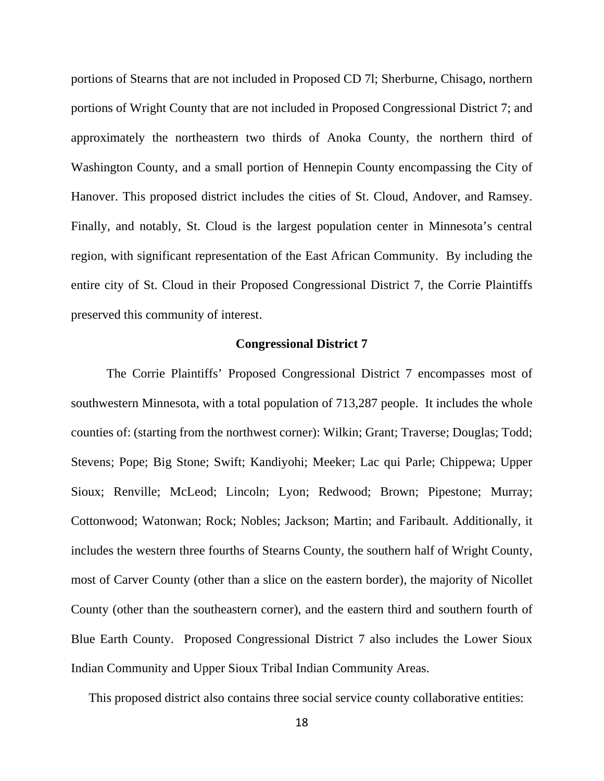portions of Stearns that are not included in Proposed CD 7l; Sherburne, Chisago, northern portions of Wright County that are not included in Proposed Congressional District 7; and approximately the northeastern two thirds of Anoka County, the northern third of Washington County, and a small portion of Hennepin County encompassing the City of Hanover. This proposed district includes the cities of St. Cloud, Andover, and Ramsey. Finally, and notably, St. Cloud is the largest population center in Minnesota's central region, with significant representation of the East African Community. By including the entire city of St. Cloud in their Proposed Congressional District 7, the Corrie Plaintiffs preserved this community of interest.

### **Congressional District 7**

The Corrie Plaintiffs' Proposed Congressional District 7 encompasses most of southwestern Minnesota, with a total population of 713,287 people. It includes the whole counties of: (starting from the northwest corner): Wilkin; Grant; Traverse; Douglas; Todd; Stevens; Pope; Big Stone; Swift; Kandiyohi; Meeker; Lac qui Parle; Chippewa; Upper Sioux; Renville; McLeod; Lincoln; Lyon; Redwood; Brown; Pipestone; Murray; Cottonwood; Watonwan; Rock; Nobles; Jackson; Martin; and Faribault. Additionally, it includes the western three fourths of Stearns County, the southern half of Wright County, most of Carver County (other than a slice on the eastern border), the majority of Nicollet County (other than the southeastern corner), and the eastern third and southern fourth of Blue Earth County. Proposed Congressional District 7 also includes the Lower Sioux Indian Community and Upper Sioux Tribal Indian Community Areas.

This proposed district also contains three social service county collaborative entities: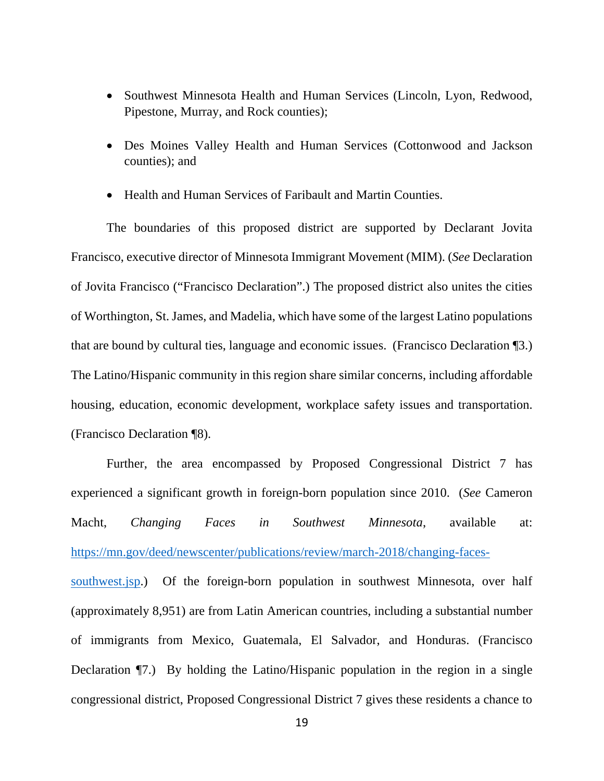- Southwest Minnesota Health and Human Services (Lincoln, Lyon, Redwood, Pipestone, Murray, and Rock counties);
- Des Moines Valley Health and Human Services (Cottonwood and Jackson counties); and
- Health and Human Services of Faribault and Martin Counties.

The boundaries of this proposed district are supported by Declarant Jovita Francisco, executive director of Minnesota Immigrant Movement (MIM). (*See* Declaration of Jovita Francisco ("Francisco Declaration".) The proposed district also unites the cities of Worthington, St. James, and Madelia, which have some of the largest Latino populations that are bound by cultural ties, language and economic issues. (Francisco Declaration ¶3.) The Latino/Hispanic community in this region share similar concerns, including affordable housing, education, economic development, workplace safety issues and transportation. (Francisco Declaration ¶8).

Further, the area encompassed by Proposed Congressional District 7 has experienced a significant growth in foreign-born population since 2010. (*See* Cameron Macht, *Changing Faces in Southwest Minnesota*, available at: https://mn.gov/deed/newscenter/publications/review/march-2018/changing-facessouthwest.jsp.) Of the foreign-born population in southwest Minnesota, over half (approximately 8,951) are from Latin American countries, including a substantial number of immigrants from Mexico, Guatemala, El Salvador, and Honduras. (Francisco Declaration ¶7.) By holding the Latino/Hispanic population in the region in a single congressional district, Proposed Congressional District 7 gives these residents a chance to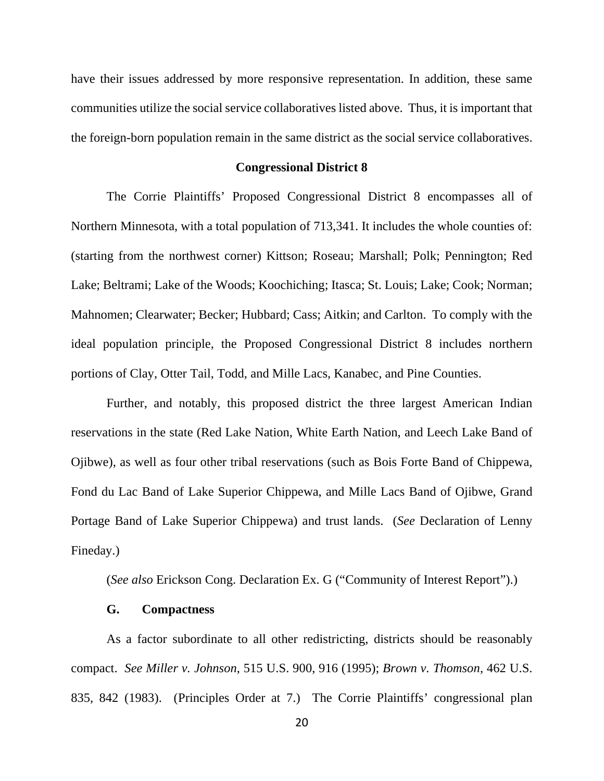have their issues addressed by more responsive representation. In addition, these same communities utilize the social service collaboratives listed above. Thus, it is important that the foreign-born population remain in the same district as the social service collaboratives.

#### **Congressional District 8**

The Corrie Plaintiffs' Proposed Congressional District 8 encompasses all of Northern Minnesota, with a total population of 713,341. It includes the whole counties of: (starting from the northwest corner) Kittson; Roseau; Marshall; Polk; Pennington; Red Lake; Beltrami; Lake of the Woods; Koochiching; Itasca; St. Louis; Lake; Cook; Norman; Mahnomen; Clearwater; Becker; Hubbard; Cass; Aitkin; and Carlton. To comply with the ideal population principle, the Proposed Congressional District 8 includes northern portions of Clay, Otter Tail, Todd, and Mille Lacs, Kanabec, and Pine Counties.

Further, and notably, this proposed district the three largest American Indian reservations in the state (Red Lake Nation, White Earth Nation, and Leech Lake Band of Ojibwe), as well as four other tribal reservations (such as Bois Forte Band of Chippewa, Fond du Lac Band of Lake Superior Chippewa, and Mille Lacs Band of Ojibwe, Grand Portage Band of Lake Superior Chippewa) and trust lands. (*See* Declaration of Lenny Fineday.)

(*See also* Erickson Cong. Declaration Ex. G ("Community of Interest Report").)

### **G. Compactness**

As a factor subordinate to all other redistricting, districts should be reasonably compact. *See Miller v. Johnson*, 515 U.S. 900, 916 (1995); *Brown v. Thomson*, 462 U.S. 835, 842 (1983). (Principles Order at 7.) The Corrie Plaintiffs' congressional plan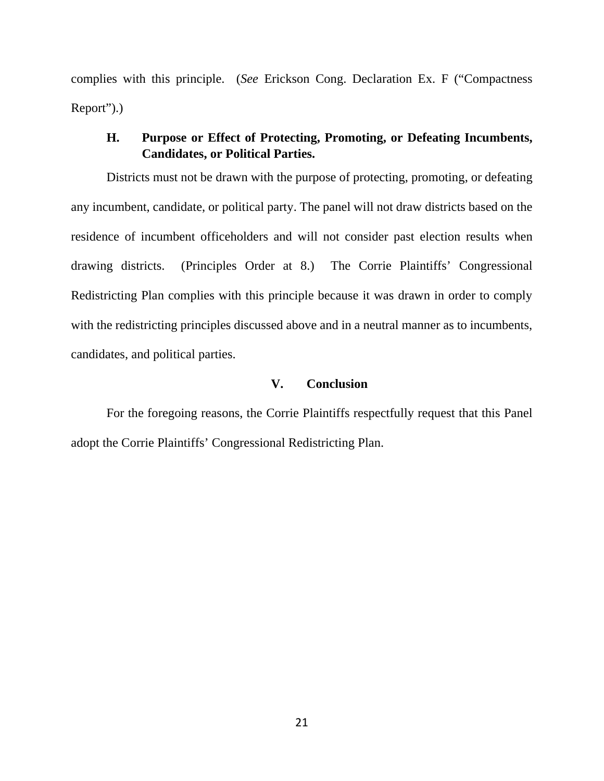complies with this principle. (*See* Erickson Cong. Declaration Ex. F ("Compactness Report").)

# **H. Purpose or Effect of Protecting, Promoting, or Defeating Incumbents, Candidates, or Political Parties.**

Districts must not be drawn with the purpose of protecting, promoting, or defeating any incumbent, candidate, or political party. The panel will not draw districts based on the residence of incumbent officeholders and will not consider past election results when drawing districts. (Principles Order at 8.) The Corrie Plaintiffs' Congressional Redistricting Plan complies with this principle because it was drawn in order to comply with the redistricting principles discussed above and in a neutral manner as to incumbents, candidates, and political parties.

# **V. Conclusion**

For the foregoing reasons, the Corrie Plaintiffs respectfully request that this Panel adopt the Corrie Plaintiffs' Congressional Redistricting Plan.